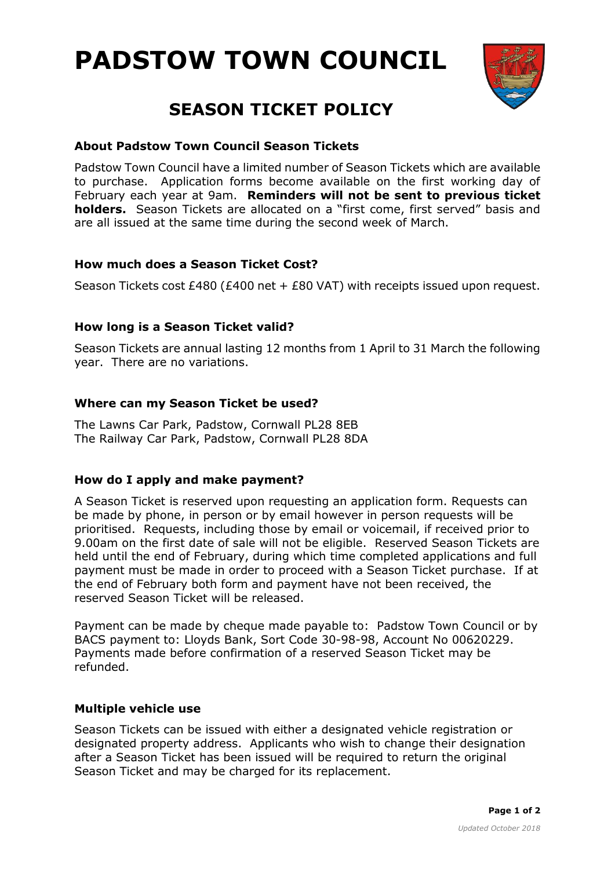



# **SEASON TICKET POLICY**

# **About Padstow Town Council Season Tickets**

Padstow Town Council have a limited number of Season Tickets which are available to purchase. Application forms become available on the first working day of February each year at 9am. **Reminders will not be sent to previous ticket holders.** Season Tickets are allocated on a "first come, first served" basis and are all issued at the same time during the second week of March.

# **How much does a Season Ticket Cost?**

Season Tickets cost £480 (£400 net + £80 VAT) with receipts issued upon request.

# **How long is a Season Ticket valid?**

Season Tickets are annual lasting 12 months from 1 April to 31 March the following year. There are no variations.

# **Where can my Season Ticket be used?**

The Lawns Car Park, Padstow, Cornwall PL28 8EB The Railway Car Park, Padstow, Cornwall PL28 8DA

# **How do I apply and make payment?**

A Season Ticket is reserved upon requesting an application form. Requests can be made by phone, in person or by email however in person requests will be prioritised. Requests, including those by email or voicemail, if received prior to 9.00am on the first date of sale will not be eligible. Reserved Season Tickets are held until the end of February, during which time completed applications and full payment must be made in order to proceed with a Season Ticket purchase. If at the end of February both form and payment have not been received, the reserved Season Ticket will be released.

Payment can be made by cheque made payable to: Padstow Town Council or by BACS payment to: Lloyds Bank, Sort Code 30-98-98, Account No 00620229. Payments made before confirmation of a reserved Season Ticket may be refunded.

# **Multiple vehicle use**

Season Tickets can be issued with either a designated vehicle registration or designated property address. Applicants who wish to change their designation after a Season Ticket has been issued will be required to return the original Season Ticket and may be charged for its replacement.